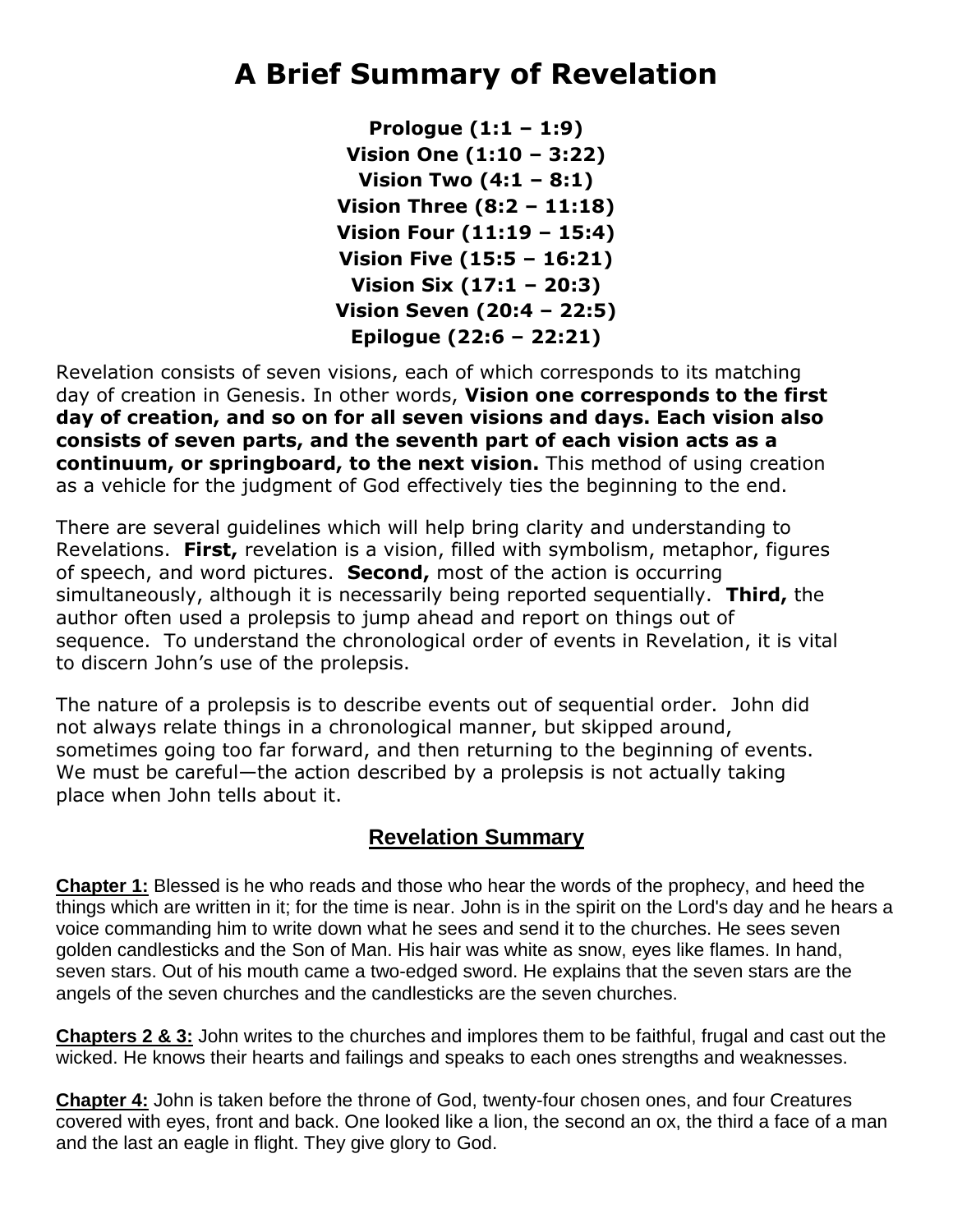## **A Brief Summary of Revelation**

**Prologue (1:1 – 1:9) Vision One (1:10 – 3:22) Vision Two (4:1 – 8:1) Vision Three (8:2 – 11:18) Vision Four (11:19 – 15:4) Vision Five (15:5 – 16:21) Vision Six (17:1 – 20:3) Vision Seven (20:4 – 22:5) Epilogue (22:6 – 22:21)**

Revelation consists of seven visions, each of which corresponds to its matching day of creation in Genesis. In other words, **Vision one corresponds to the first day of creation, and so on for all seven visions and days. Each vision also consists of seven parts, and the seventh part of each vision acts as a continuum, or springboard, to the next vision.** This method of using creation as a vehicle for the judgment of God effectively ties the beginning to the end.

There are several guidelines which will help bring clarity and understanding to Revelations. **First,** revelation is a vision, filled with symbolism, metaphor, figures of speech, and word pictures. **Second,** most of the action is occurring simultaneously, although it is necessarily being reported sequentially. **Third,** the author often used a prolepsis to jump ahead and report on things out of sequence. To understand the chronological order of events in Revelation, it is vital to discern John's use of the prolepsis.

The nature of a prolepsis is to describe events out of sequential order. John did not always relate things in a chronological manner, but skipped around, sometimes going too far forward, and then returning to the beginning of events. We must be careful—the action described by a prolepsis is not actually taking place when John tells about it.

## **Revelation Summary**

**Chapter 1:** Blessed is he who reads and those who hear the words of the prophecy, and heed the things which are written in it; for the time is near. John is in the spirit on the Lord's day and he hears a voice commanding him to write down what he sees and send it to the churches. He sees seven golden candlesticks and the Son of Man. His hair was white as snow, eyes like flames. In hand, seven stars. Out of his mouth came a two-edged sword. He explains that the seven stars are the angels of the seven churches and the candlesticks are the seven churches.

**Chapters 2 & 3:** John writes to the churches and implores them to be faithful, frugal and cast out the wicked. He knows their hearts and failings and speaks to each ones strengths and weaknesses.

**Chapter 4:** John is taken before the throne of God, twenty-four chosen ones, and four Creatures covered with eyes, front and back. One looked like a lion, the second an ox, the third a face of a man and the last an eagle in flight. They give glory to God.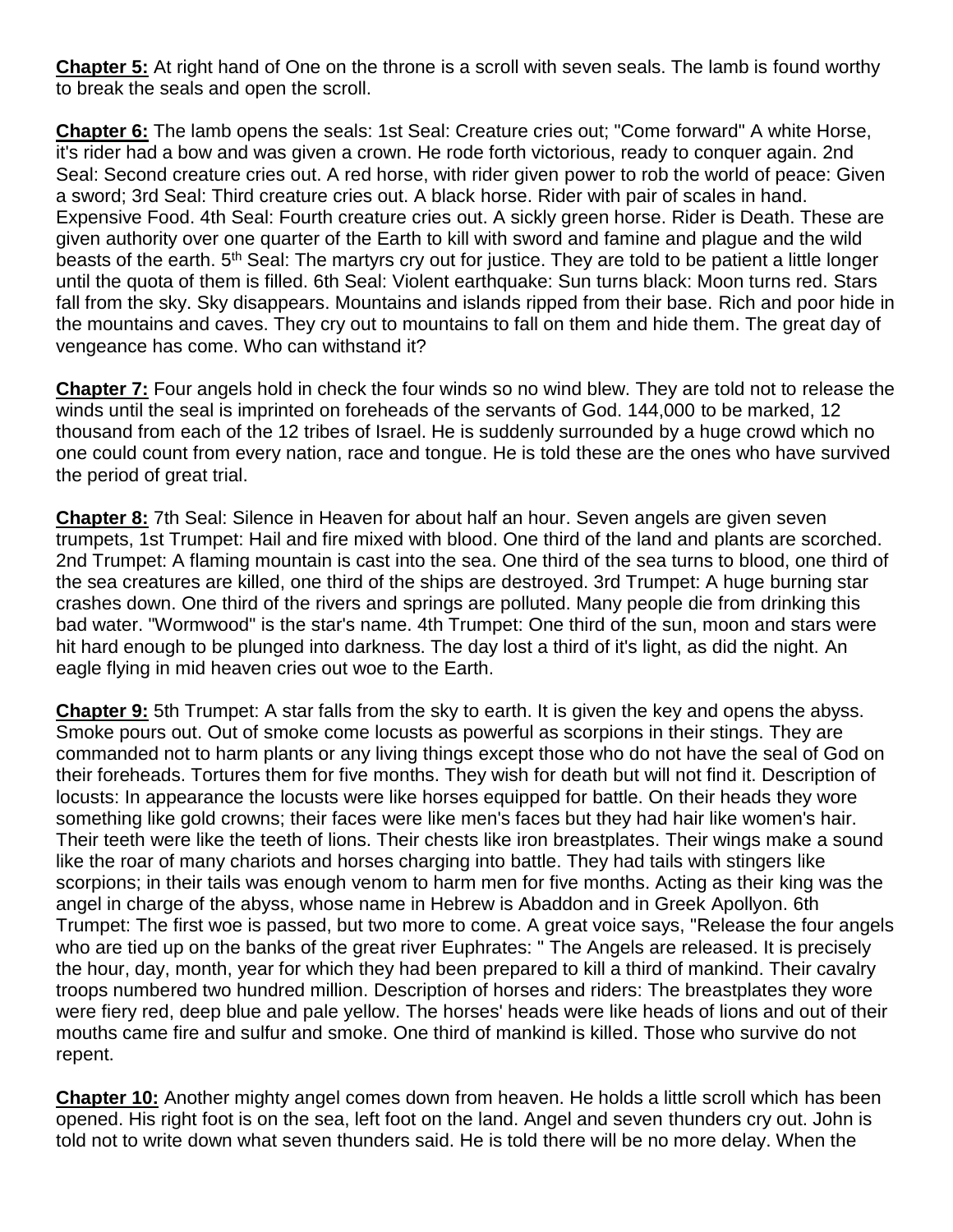**Chapter 5:** At right hand of One on the throne is a scroll with seven seals. The lamb is found worthy to break the seals and open the scroll.

**Chapter 6:** The lamb opens the seals: 1st Seal: Creature cries out; "Come forward" A white Horse, it's rider had a bow and was given a crown. He rode forth victorious, ready to conquer again. 2nd Seal: Second creature cries out. A red horse, with rider given power to rob the world of peace: Given a sword; 3rd Seal: Third creature cries out. A black horse. Rider with pair of scales in hand. Expensive Food. 4th Seal: Fourth creature cries out. A sickly green horse. Rider is Death. These are given authority over one quarter of the Earth to kill with sword and famine and plague and the wild beasts of the earth. 5<sup>th</sup> Seal: The martyrs cry out for justice. They are told to be patient a little longer until the quota of them is filled. 6th Seal: Violent earthquake: Sun turns black: Moon turns red. Stars fall from the sky. Sky disappears. Mountains and islands ripped from their base. Rich and poor hide in the mountains and caves. They cry out to mountains to fall on them and hide them. The great day of vengeance has come. Who can withstand it?

**Chapter 7:** Four angels hold in check the four winds so no wind blew. They are told not to release the winds until the seal is imprinted on foreheads of the servants of God. 144,000 to be marked, 12 thousand from each of the 12 tribes of Israel. He is suddenly surrounded by a huge crowd which no one could count from every nation, race and tongue. He is told these are the ones who have survived the period of great trial.

**Chapter 8:** 7th Seal: Silence in Heaven for about half an hour. Seven angels are given seven trumpets, 1st Trumpet: Hail and fire mixed with blood. One third of the land and plants are scorched. 2nd Trumpet: A flaming mountain is cast into the sea. One third of the sea turns to blood, one third of the sea creatures are killed, one third of the ships are destroyed. 3rd Trumpet: A huge burning star crashes down. One third of the rivers and springs are polluted. Many people die from drinking this bad water. "Wormwood" is the star's name. 4th Trumpet: One third of the sun, moon and stars were hit hard enough to be plunged into darkness. The day lost a third of it's light, as did the night. An eagle flying in mid heaven cries out woe to the Earth.

**Chapter 9:** 5th Trumpet: A star falls from the sky to earth. It is given the key and opens the abyss. Smoke pours out. Out of smoke come locusts as powerful as scorpions in their stings. They are commanded not to harm plants or any living things except those who do not have the seal of God on their foreheads. Tortures them for five months. They wish for death but will not find it. Description of locusts: In appearance the locusts were like horses equipped for battle. On their heads they wore something like gold crowns; their faces were like men's faces but they had hair like women's hair. Their teeth were like the teeth of lions. Their chests like iron breastplates. Their wings make a sound like the roar of many chariots and horses charging into battle. They had tails with stingers like scorpions; in their tails was enough venom to harm men for five months. Acting as their king was the angel in charge of the abyss, whose name in Hebrew is Abaddon and in Greek Apollyon. 6th Trumpet: The first woe is passed, but two more to come. A great voice says, "Release the four angels who are tied up on the banks of the great river Euphrates: " The Angels are released. It is precisely the hour, day, month, year for which they had been prepared to kill a third of mankind. Their cavalry troops numbered two hundred million. Description of horses and riders: The breastplates they wore were fiery red, deep blue and pale yellow. The horses' heads were like heads of lions and out of their mouths came fire and sulfur and smoke. One third of mankind is killed. Those who survive do not repent.

**Chapter 10:** Another mighty angel comes down from heaven. He holds a little scroll which has been opened. His right foot is on the sea, left foot on the land. Angel and seven thunders cry out. John is told not to write down what seven thunders said. He is told there will be no more delay. When the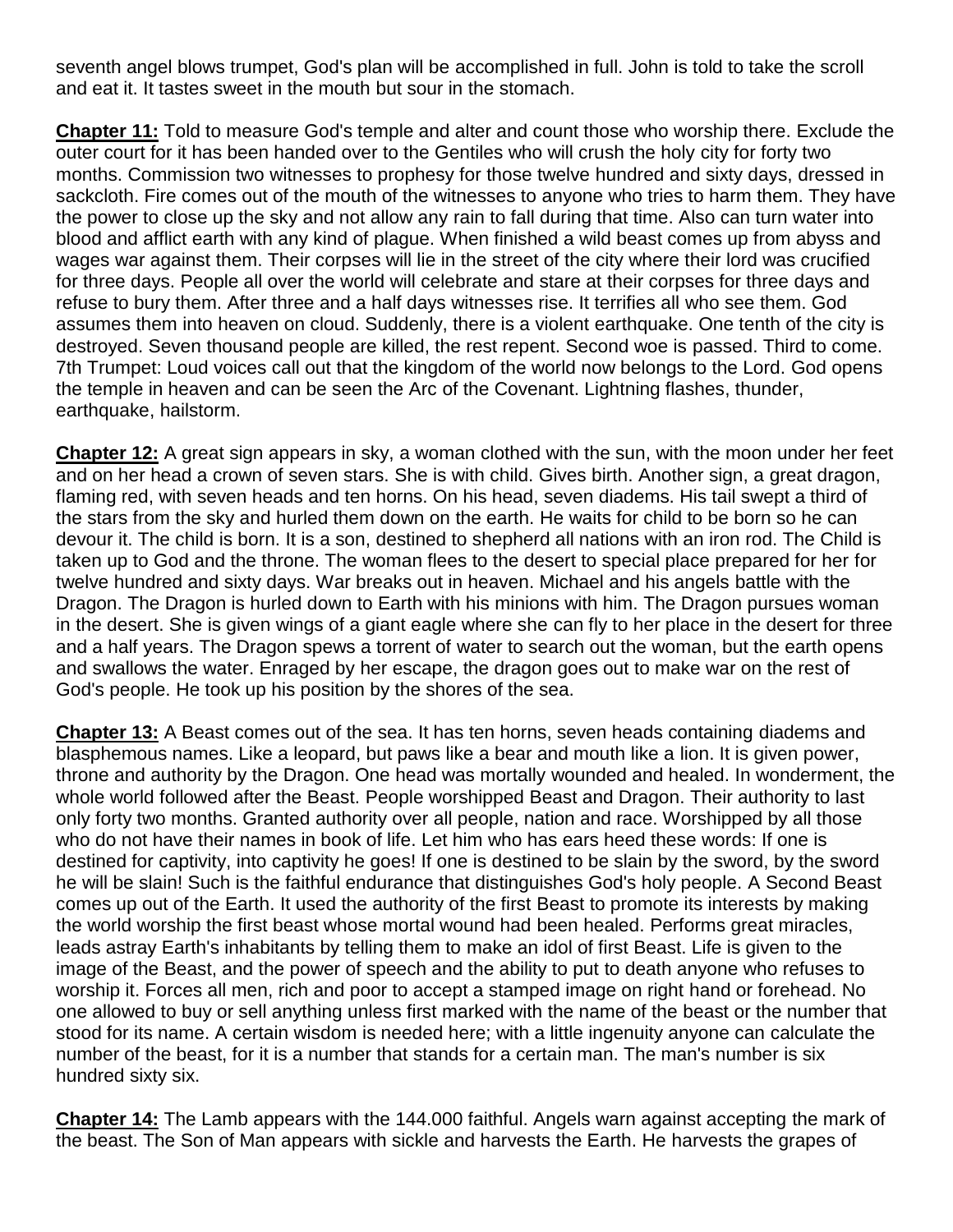seventh angel blows trumpet, God's plan will be accomplished in full. John is told to take the scroll and eat it. It tastes sweet in the mouth but sour in the stomach.

**Chapter 11:** Told to measure God's temple and alter and count those who worship there. Exclude the outer court for it has been handed over to the Gentiles who will crush the holy city for forty two months. Commission two witnesses to prophesy for those twelve hundred and sixty days, dressed in sackcloth. Fire comes out of the mouth of the witnesses to anyone who tries to harm them. They have the power to close up the sky and not allow any rain to fall during that time. Also can turn water into blood and afflict earth with any kind of plague. When finished a wild beast comes up from abyss and wages war against them. Their corpses will lie in the street of the city where their lord was crucified for three days. People all over the world will celebrate and stare at their corpses for three days and refuse to bury them. After three and a half days witnesses rise. It terrifies all who see them. God assumes them into heaven on cloud. Suddenly, there is a violent earthquake. One tenth of the city is destroyed. Seven thousand people are killed, the rest repent. Second woe is passed. Third to come. 7th Trumpet: Loud voices call out that the kingdom of the world now belongs to the Lord. God opens the temple in heaven and can be seen the Arc of the Covenant. Lightning flashes, thunder, earthquake, hailstorm.

**Chapter 12:** A great sign appears in sky, a woman clothed with the sun, with the moon under her feet and on her head a crown of seven stars. She is with child. Gives birth. Another sign, a great dragon, flaming red, with seven heads and ten horns. On his head, seven diadems. His tail swept a third of the stars from the sky and hurled them down on the earth. He waits for child to be born so he can devour it. The child is born. It is a son, destined to shepherd all nations with an iron rod. The Child is taken up to God and the throne. The woman flees to the desert to special place prepared for her for twelve hundred and sixty days. War breaks out in heaven. Michael and his angels battle with the Dragon. The Dragon is hurled down to Earth with his minions with him. The Dragon pursues woman in the desert. She is given wings of a giant eagle where she can fly to her place in the desert for three and a half years. The Dragon spews a torrent of water to search out the woman, but the earth opens and swallows the water. Enraged by her escape, the dragon goes out to make war on the rest of God's people. He took up his position by the shores of the sea.

**Chapter 13:** A Beast comes out of the sea. It has ten horns, seven heads containing diadems and blasphemous names. Like a leopard, but paws like a bear and mouth like a lion. It is given power, throne and authority by the Dragon. One head was mortally wounded and healed. In wonderment, the whole world followed after the Beast. People worshipped Beast and Dragon. Their authority to last only forty two months. Granted authority over all people, nation and race. Worshipped by all those who do not have their names in book of life. Let him who has ears heed these words: If one is destined for captivity, into captivity he goes! If one is destined to be slain by the sword, by the sword he will be slain! Such is the faithful endurance that distinguishes God's holy people. A Second Beast comes up out of the Earth. It used the authority of the first Beast to promote its interests by making the world worship the first beast whose mortal wound had been healed. Performs great miracles, leads astray Earth's inhabitants by telling them to make an idol of first Beast. Life is given to the image of the Beast, and the power of speech and the ability to put to death anyone who refuses to worship it. Forces all men, rich and poor to accept a stamped image on right hand or forehead. No one allowed to buy or sell anything unless first marked with the name of the beast or the number that stood for its name. A certain wisdom is needed here; with a little ingenuity anyone can calculate the number of the beast, for it is a number that stands for a certain man. The man's number is six hundred sixty six.

**Chapter 14:** The Lamb appears with the 144.000 faithful. Angels warn against accepting the mark of the beast. The Son of Man appears with sickle and harvests the Earth. He harvests the grapes of